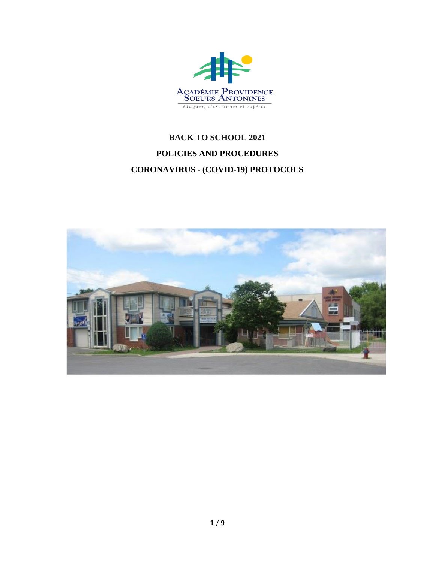

# **BACK TO SCHOOL 2021 POLICIES AND PROCEDURES CORONAVIRUS - (COVID-19) PROTOCOLS**

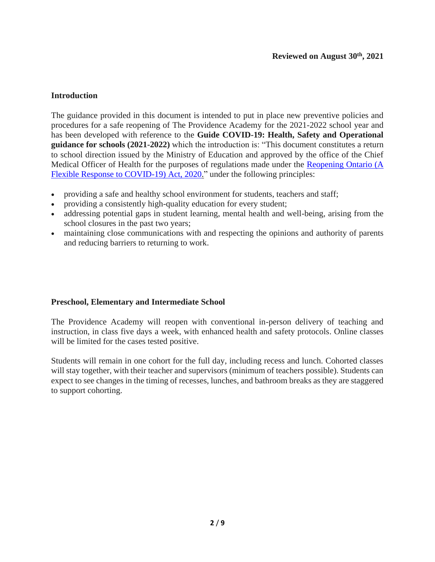## **Introduction**

The guidance provided in this document is intended to put in place new preventive policies and procedures for a safe reopening of The Providence Academy for the 2021-2022 school year and has been developed with reference to the **Guide COVID-19: Health, Safety and Operational guidance for schools (2021-2022)** which the introduction is: "This document constitutes a return to school direction issued by the Ministry of Education and approved by the office of the Chief Medical Officer of Health for the purposes of regulations made under the [Reopening Ontario \(A](https://www.ontario.ca/laws/statute/20r17)  [Flexible Response to COVID-19\) Act, 2020.](https://www.ontario.ca/laws/statute/20r17)" under the following principles:

- providing a safe and healthy school environment for students, teachers and staff;
- providing a consistently high-quality education for every student;
- addressing potential gaps in student learning, mental health and well-being, arising from the school closures in the past two years;
- maintaining close communications with and respecting the opinions and authority of parents and reducing barriers to returning to work.

#### **Preschool, Elementary and Intermediate School**

The Providence Academy will reopen with conventional in-person delivery of teaching and instruction, in class five days a week, with enhanced health and safety protocols. Online classes will be limited for the cases tested positive.

Students will remain in one cohort for the full day, including recess and lunch. Cohorted classes will stay together, with their teacher and supervisors (minimum of teachers possible). Students can expect to see changes in the timing of recesses, lunches, and bathroom breaks as they are staggered to support cohorting.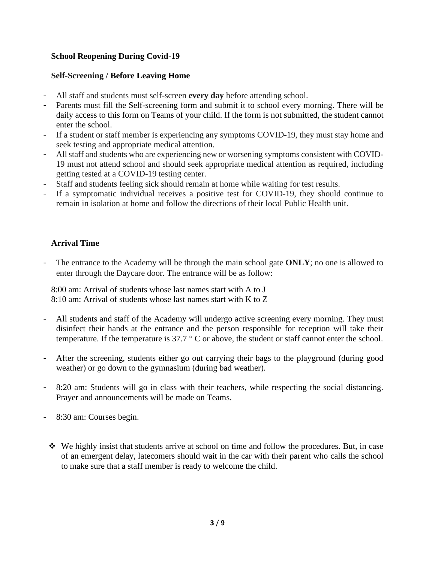## **School Reopening During Covid-19**

## **Self-Screening / Before Leaving Home**

- All staff and students must self-screen **every day** before attending school.
- Parents must fill the Self-screening form and submit it to school every morning. There will be daily access to this form on Teams of your child. If the form is not submitted, the student cannot enter the school.
- If a student or staff member is experiencing any symptoms COVID-19, they must stay home and seek testing and appropriate medical attention.
- All staff and students who are experiencing new or worsening symptoms consistent with COVID-19 must not attend school and should seek appropriate medical attention as required, including getting tested at a COVID-19 testing center.
- Staff and students feeling sick should remain at home while waiting for test results.
- If a symptomatic individual receives a positive test for COVID-19, they should continue to remain in isolation at home and follow the directions of their local Public Health unit.

## **Arrival Time**

- The entrance to the Academy will be through the main school gate **ONLY**; no one is allowed to enter through the Daycare door. The entrance will be as follow:

8:00 am: Arrival of students whose last names start with A to J 8:10 am: Arrival of students whose last names start with K to Z

- All students and staff of the Academy will undergo active screening every morning. They must disinfect their hands at the entrance and the person responsible for reception will take their temperature. If the temperature is  $37.7 \degree$  C or above, the student or staff cannot enter the school.
- After the screening, students either go out carrying their bags to the playground (during good weather) or go down to the gymnasium (during bad weather).
- 8:20 am: Students will go in class with their teachers, while respecting the social distancing. Prayer and announcements will be made on Teams.
- 8:30 am: Courses begin.
	- ❖ We highly insist that students arrive at school on time and follow the procedures. But, in case of an emergent delay, latecomers should wait in the car with their parent who calls the school to make sure that a staff member is ready to welcome the child.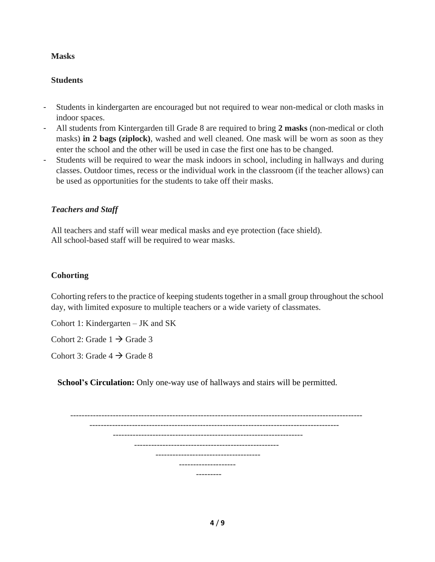## **Masks**

## **Students**

- Students in kindergarten are encouraged but not required to wear non-medical or cloth masks in indoor spaces.
- All students from Kintergarden till Grade 8 are required to bring **2 masks** (non-medical or cloth masks) **in 2 bags (ziplock)**, washed and well cleaned. One mask will be worn as soon as they enter the school and the other will be used in case the first one has to be changed.
- Students will be required to wear the mask indoors in school, including in hallways and during classes. Outdoor times, recess or the individual work in the classroom (if the teacher allows) can be used as opportunities for the students to take off their masks.

## *Teachers and Staff*

All teachers and staff will wear medical masks and eye protection (face shield). All school-based staff will be required to wear masks.

## **Cohorting**

Cohorting refers to the practice of keeping students together in a small group throughout the school day, with limited exposure to multiple teachers or a wide variety of classmates.

Cohort 1: Kindergarten – JK and SK

Cohort 2: Grade  $1 \rightarrow$  Grade 3

Cohort 3: Grade  $4 \rightarrow$  Grade 8

 **School's Circulation:** Only one-way use of hallways and stairs will be permitted.

 ---------------------------------------------------------------------------------------- ------------------------------------------------------------------- ------------------------------------- ---------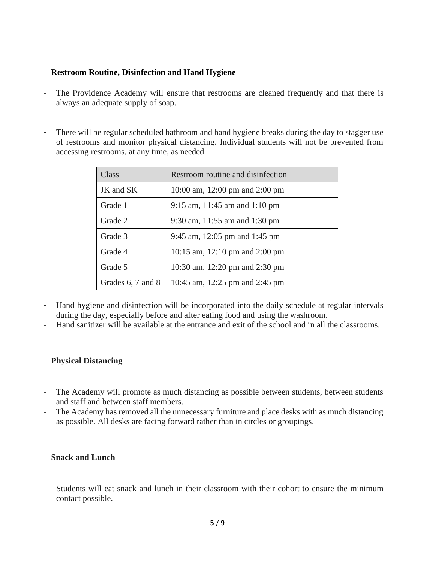## **Restroom Routine, Disinfection and Hand Hygiene**

- The Providence Academy will ensure that restrooms are cleaned frequently and that there is always an adequate supply of soap.
- There will be regular scheduled bathroom and hand hygiene breaks during the day to stagger use of restrooms and monitor physical distancing. Individual students will not be prevented from accessing restrooms, at any time, as needed.

| Class             | Restroom routine and disinfection |
|-------------------|-----------------------------------|
| JK and SK         | 10:00 am, 12:00 pm and 2:00 pm    |
| Grade 1           | 9:15 am, $11:45$ am and $1:10$ pm |
| Grade 2           | 9:30 am, 11:55 am and 1:30 pm     |
| Grade 3           | 9:45 am, 12:05 pm and 1:45 pm     |
| Grade 4           | 10:15 am, 12:10 pm and 2:00 pm    |
| Grade 5           | 10:30 am, 12:20 pm and 2:30 pm    |
| Grades 6, 7 and 8 | 10:45 am, 12:25 pm and 2:45 pm    |

- Hand hygiene and disinfection will be incorporated into the daily schedule at regular intervals during the day, especially before and after eating food and using the washroom.
- Hand sanitizer will be available at the entrance and exit of the school and in all the classrooms.

## **Physical Distancing**

- The Academy will promote as much distancing as possible between students, between students and staff and between staff members.
- The Academy has removed all the unnecessary furniture and place desks with as much distancing as possible. All desks are facing forward rather than in circles or groupings.

#### **Snack and Lunch**

- Students will eat snack and lunch in their classroom with their cohort to ensure the minimum contact possible.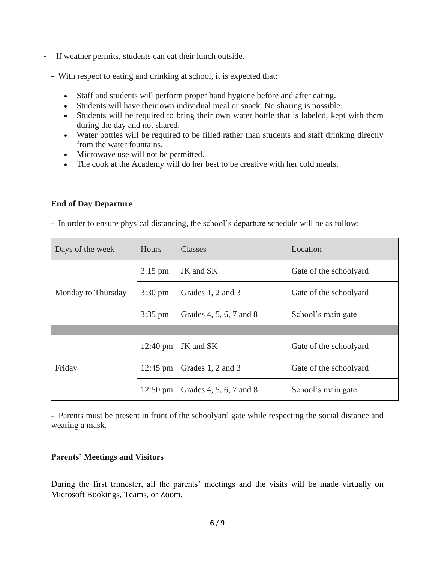- If weather permits, students can eat their lunch outside.
	- With respect to eating and drinking at school, it is expected that:
		- Staff and students will perform proper hand hygiene before and after eating.
		- Students will have their own individual meal or snack. No sharing is possible.
		- Students will be required to bring their own water bottle that is labeled, kept with them during the day and not shared.
		- Water bottles will be required to be filled rather than students and staff drinking directly from the water fountains.
		- Microwave use will not be permitted.
		- The cook at the Academy will do her best to be creative with her cold meals.

## **End of Day Departure**

- In order to ensure physical distancing, the school's departure schedule will be as follow:

| Days of the week   | Hours              | <b>Classes</b>          | Location               |
|--------------------|--------------------|-------------------------|------------------------|
| Monday to Thursday | $3:15 \text{ pm}$  | JK and SK               | Gate of the schoolyard |
|                    | $3:30 \text{ pm}$  | Grades 1, 2 and 3       | Gate of the schoolyard |
|                    | $3:35$ pm          | Grades 4, 5, 6, 7 and 8 | School's main gate     |
|                    |                    |                         |                        |
| Friday             | $12:40 \text{ pm}$ | JK and SK               | Gate of the schoolyard |
|                    | $12:45 \text{ pm}$ | Grades 1, 2 and 3       | Gate of the schoolyard |
|                    |                    |                         |                        |

- Parents must be present in front of the schoolyard gate while respecting the social distance and wearing a mask.

#### **Parents' Meetings and Visitors**

During the first trimester, all the parents' meetings and the visits will be made virtually on Microsoft Bookings, Teams, or Zoom.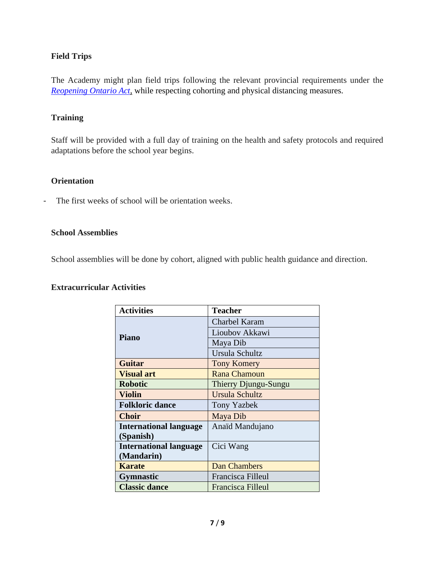## **Field Trips**

The Academy might plan field trips following the relevant provincial requirements under the *[Reopening Ontario Act,](https://www.ontario.ca/laws/statute/20r17)* while respecting cohorting and physical distancing measures.

#### **Training**

Staff will be provided with a full day of training on the health and safety protocols and required adaptations before the school year begins.

#### **Orientation**

- The first weeks of school will be orientation weeks.

#### **School Assemblies**

School assemblies will be done by cohort, aligned with public health guidance and direction.

#### **Extracurricular Activities**

| <b>Activities</b>             | <b>Teacher</b>       |  |
|-------------------------------|----------------------|--|
|                               | Charbel Karam        |  |
| <b>Piano</b>                  | Lioubov Akkawi       |  |
|                               | Maya Dib             |  |
|                               | Ursula Schultz       |  |
| <b>Guitar</b>                 | <b>Tony Komery</b>   |  |
| <b>Visual art</b>             | <b>Rana Chamoun</b>  |  |
| <b>Robotic</b>                | Thierry Djungu-Sungu |  |
| <b>Violin</b>                 | Ursula Schultz       |  |
| <b>Folkloric dance</b>        | <b>Tony Yazbek</b>   |  |
| <b>Choir</b>                  | Maya Dib             |  |
| <b>International language</b> | Anaïd Mandujano      |  |
| (Spanish)                     |                      |  |
| <b>International language</b> | Cici Wang            |  |
| (Mandarin)                    |                      |  |
| <b>Karate</b>                 | Dan Chambers         |  |
| <b>Gymnastic</b>              | Francisca Filleul    |  |
| <b>Classic dance</b>          | Francisca Filleul    |  |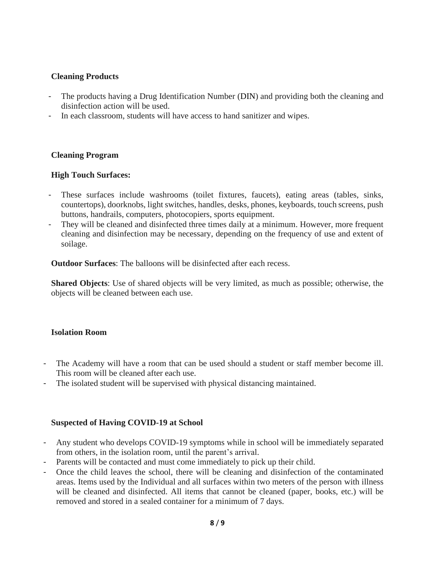## **Cleaning Products**

- The products having a Drug Identification Number (DIN) and providing both the cleaning and disinfection action will be used.
- In each classroom, students will have access to hand sanitizer and wipes.

## **Cleaning Program**

## **High Touch Surfaces:**

- These surfaces include washrooms (toilet fixtures, faucets), eating areas (tables, sinks, countertops), doorknobs, light switches, handles, desks, phones, keyboards, touch screens, push buttons, handrails, computers, photocopiers, sports equipment.
- They will be cleaned and disinfected three times daily at a minimum. However, more frequent cleaning and disinfection may be necessary, depending on the frequency of use and extent of soilage.

**Outdoor Surfaces**: The balloons will be disinfected after each recess.

**Shared Objects**: Use of shared objects will be very limited, as much as possible; otherwise, the objects will be cleaned between each use.

#### **Isolation Room**

- The Academy will have a room that can be used should a student or staff member become ill. This room will be cleaned after each use.
- The isolated student will be supervised with physical distancing maintained.

## **Suspected of Having COVID-19 at School**

- Any student who develops COVID-19 symptoms while in school will be immediately separated from others, in the isolation room, until the parent's arrival.
- Parents will be contacted and must come immediately to pick up their child.
- Once the child leaves the school, there will be cleaning and disinfection of the contaminated areas. Items used by the Individual and all surfaces within two meters of the person with illness will be cleaned and disinfected. All items that cannot be cleaned (paper, books, etc.) will be removed and stored in a sealed container for a minimum of 7 days.